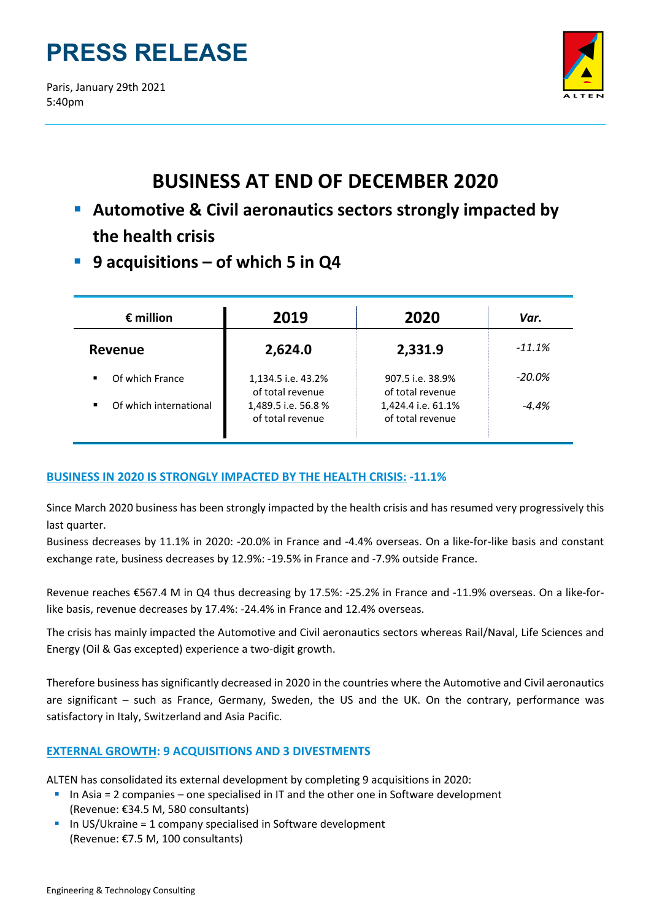# **PRESS RELEASE**

Paris, January 29th 2021 5:40pm



# **BUSINESS AT END OF DECEMBER 2020**

- **Automotive & Civil aeronautics sectors strongly impacted by the health crisis**
- **9 acquisitions – of which 5 in Q4**

| $\epsilon$ million     | 2019                                    | 2020                                   | Var.      |
|------------------------|-----------------------------------------|----------------------------------------|-----------|
| Revenue                | 2,624.0                                 | 2,331.9                                | $-11.1%$  |
| Of which France        | 1,134.5 i.e. 43.2%<br>of total revenue  | 907.5 i.e. 38.9%<br>of total revenue   | $-20.0\%$ |
| Of which international | 1,489.5 i.e. 56.8 %<br>of total revenue | 1,424.4 i.e. 61.1%<br>of total revenue | $-4.4%$   |

## **BUSINESS IN 2020 IS STRONGLY IMPACTED BY THE HEALTH CRISIS: ‐11.1%**

Since March 2020 business has been strongly impacted by the health crisis and has resumed very progressively this last quarter.

Business decreases by 11.1% in 2020: ‐20.0% in France and ‐4.4% overseas. On a like‐for‐like basis and constant exchange rate, business decreases by 12.9%: ‐19.5% in France and ‐7.9% outside France.

Revenue reaches €567.4 M in Q4 thus decreasing by 17.5%: -25.2% in France and -11.9% overseas. On a like-forlike basis, revenue decreases by 17.4%: ‐24.4% in France and 12.4% overseas.

The crisis has mainly impacted the Automotive and Civil aeronautics sectors whereas Rail/Naval, Life Sciences and Energy (Oil & Gas excepted) experience a two‐digit growth.

Therefore business has significantly decreased in 2020 in the countries where the Automotive and Civil aeronautics are significant – such as France, Germany, Sweden, the US and the UK. On the contrary, performance was satisfactory in Italy, Switzerland and Asia Pacific.

### **EXTERNAL GROWTH: 9 ACQUISITIONS AND 3 DIVESTMENTS**

ALTEN has consolidated its external development by completing 9 acquisitions in 2020:

- In Asia = 2 companies one specialised in IT and the other one in Software development (Revenue: €34.5 M, 580 consultants)
- $\blacksquare$  In US/Ukraine = 1 company specialised in Software development (Revenue: €7.5 M, 100 consultants)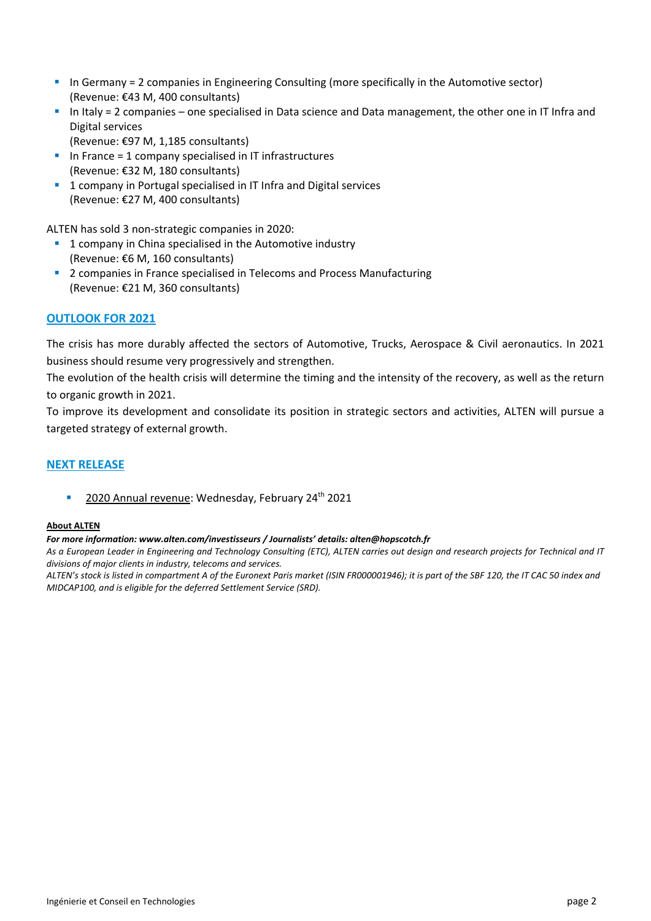- In Germany = 2 companies in Engineering Consulting (more specifically in the Automotive sector) (Revenue: €43 M, 400 consultants)
- In Italy = 2 companies one specialised in Data science and Data management, the other one in IT Infra and Digital services
	- (Revenue: €97 M, 1,185 consultants)
- In France = 1 company specialised in IT infrastructures (Revenue: €32 M, 180 consultants)
- **1 company in Portugal specialised in IT Infra and Digital services** (Revenue: €27 M, 400 consultants)

ALTEN has sold 3 non‐strategic companies in 2020:

- 1 company in China specialised in the Automotive industry (Revenue: €6 M, 160 consultants)
- <sup>2</sup> 2 companies in France specialised in Telecoms and Process Manufacturing (Revenue: €21 M, 360 consultants)

#### **OUTLOOK FOR 2021**

The crisis has more durably affected the sectors of Automotive, Trucks, Aerospace & Civil aeronautics. In 2021 business should resume very progressively and strengthen.

The evolution of the health crisis will determine the timing and the intensity of the recovery, as well as the return to organic growth in 2021.

To improve its development and consolidate its position in strategic sectors and activities, ALTEN will pursue a targeted strategy of external growth.

#### **NEXT RELEASE**

2020 Annual revenue: Wednesday, February 24<sup>th</sup> 2021

#### **About ALTEN**

#### *For more information: www.alten.com/investisseurs / Journalists' details: alten@hopscotch.fr*

As a European Leader in Engineering and Technology Consulting (ETC), ALTEN carries out design and research projects for Technical and IT *divisions of major clients in industry, telecoms and services.*

ALTEN's stock is listed in compartment A of the Euronext Paris market (ISIN FR000001946); it is part of the SBF 120, the IT CAC 50 index and *MIDCAP100, and is eligible for the deferred Settlement Service (SRD).*